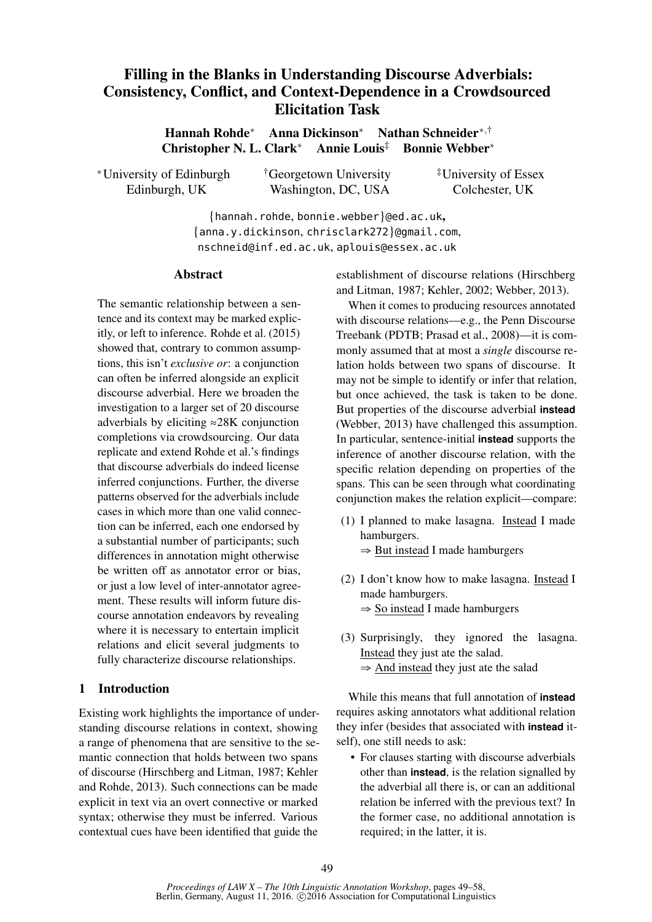# Filling in the Blanks in Understanding Discourse Adverbials: Consistency, Conflict, and Context-Dependence in a Crowdsourced Elicitation Task

Hannah Rohde<sup>∗</sup> Anna Dickinson<sup>∗</sup> Nathan Schneider∗,† Christopher N. L. Clark<sup>∗</sup> Annie Louis‡ Bonnie Webber<sup>∗</sup>

| *University of Edinburgh | <sup>†</sup> Georgetown University | <sup>‡</sup> University of Essex |
|--------------------------|------------------------------------|----------------------------------|
| Edinburgh, UK            | Washington, DC, USA                | Colchester, UK                   |

{hannah.rohde, bonnie.webber}@ed.ac.uk, {anna.y.dickinson, chrisclark272}@gmail.com, nschneid@inf.ed.ac.uk, aplouis@essex.ac.uk

### **Abstract**

The semantic relationship between a sentence and its context may be marked explicitly, or left to inference. Rohde et al. (2015) showed that, contrary to common assumptions, this isn't *exclusive or*: a conjunction can often be inferred alongside an explicit discourse adverbial. Here we broaden the investigation to a larger set of 20 discourse adverbials by eliciting ≈28K conjunction completions via crowdsourcing. Our data replicate and extend Rohde et al.'s findings that discourse adverbials do indeed license inferred conjunctions. Further, the diverse patterns observed for the adverbials include cases in which more than one valid connection can be inferred, each one endorsed by a substantial number of participants; such differences in annotation might otherwise be written off as annotator error or bias, or just a low level of inter-annotator agreement. These results will inform future discourse annotation endeavors by revealing where it is necessary to entertain implicit relations and elicit several judgments to fully characterize discourse relationships.

## 1 Introduction

Existing work highlights the importance of understanding discourse relations in context, showing a range of phenomena that are sensitive to the semantic connection that holds between two spans of discourse (Hirschberg and Litman, 1987; Kehler and Rohde, 2013). Such connections can be made explicit in text via an overt connective or marked syntax; otherwise they must be inferred. Various contextual cues have been identified that guide the

establishment of discourse relations (Hirschberg and Litman, 1987; Kehler, 2002; Webber, 2013).

When it comes to producing resources annotated with discourse relations—e.g., the Penn Discourse Treebank (PDTB; Prasad et al., 2008)—it is commonly assumed that at most a *single* discourse relation holds between two spans of discourse. It may not be simple to identify or infer that relation, but once achieved, the task is taken to be done. But properties of the discourse adverbial **instead** (Webber, 2013) have challenged this assumption. In particular, sentence-initial **instead** supports the inference of another discourse relation, with the specific relation depending on properties of the spans. This can be seen through what coordinating conjunction makes the relation explicit—compare:

- (1) I planned to make lasagna. Instead I made hamburgers. ⇒ But instead I made hamburgers
- (2) I don't know how to make lasagna. Instead I made hamburgers. ⇒ So instead I made hamburgers
- (3) Surprisingly, they ignored the lasagna. Instead they just ate the salad.  $\Rightarrow$  And instead they just ate the salad

While this means that full annotation of **instead** requires asking annotators what additional relation they infer (besides that associated with **instead** itself), one still needs to ask:

• For clauses starting with discourse adverbials other than **instead**, is the relation signalled by the adverbial all there is, or can an additional relation be inferred with the previous text? In the former case, no additional annotation is required; in the latter, it is.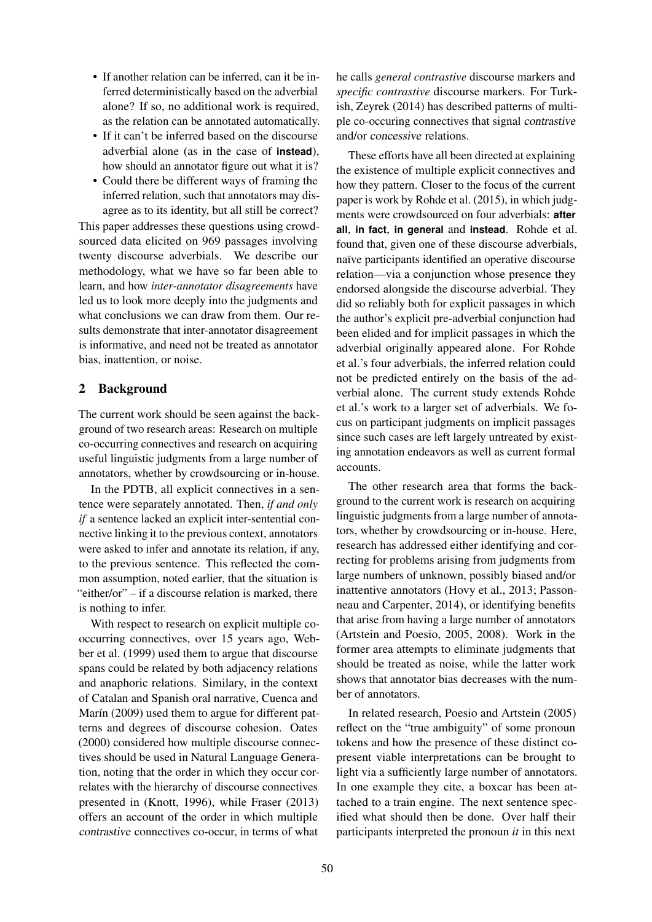- If another relation can be inferred, can it be inferred deterministically based on the adverbial alone? If so, no additional work is required, as the relation can be annotated automatically.
- If it can't be inferred based on the discourse adverbial alone (as in the case of **instead**), how should an annotator figure out what it is?
- Could there be different ways of framing the inferred relation, such that annotators may disagree as to its identity, but all still be correct?

This paper addresses these questions using crowdsourced data elicited on 969 passages involving twenty discourse adverbials. We describe our methodology, what we have so far been able to learn, and how *inter-annotator disagreements* have led us to look more deeply into the judgments and what conclusions we can draw from them. Our results demonstrate that inter-annotator disagreement is informative, and need not be treated as annotator bias, inattention, or noise.

# 2 Background

The current work should be seen against the background of two research areas: Research on multiple co-occurring connectives and research on acquiring useful linguistic judgments from a large number of annotators, whether by crowdsourcing or in-house.

In the PDTB, all explicit connectives in a sentence were separately annotated. Then, *if and only if* a sentence lacked an explicit inter-sentential connective linking it to the previous context, annotators were asked to infer and annotate its relation, if any, to the previous sentence. This reflected the common assumption, noted earlier, that the situation is "either/or" – if a discourse relation is marked, there is nothing to infer.

With respect to research on explicit multiple cooccurring connectives, over 15 years ago, Webber et al. (1999) used them to argue that discourse spans could be related by both adjacency relations and anaphoric relations. Similary, in the context of Catalan and Spanish oral narrative, Cuenca and Marín (2009) used them to argue for different patterns and degrees of discourse cohesion. Oates (2000) considered how multiple discourse connectives should be used in Natural Language Generation, noting that the order in which they occur correlates with the hierarchy of discourse connectives presented in (Knott, 1996), while Fraser (2013) offers an account of the order in which multiple contrastive connectives co-occur, in terms of what he calls *general contrastive* discourse markers and *specific contrastive* discourse markers. For Turkish, Zeyrek (2014) has described patterns of multiple co-occuring connectives that signal contrastive and/or concessive relations.

These efforts have all been directed at explaining the existence of multiple explicit connectives and how they pattern. Closer to the focus of the current paper is work by Rohde et al. (2015), in which judgments were crowdsourced on four adverbials: **after all**, **in fact**, **in general** and **instead**. Rohde et al. found that, given one of these discourse adverbials, naïve participants identified an operative discourse relation—via a conjunction whose presence they endorsed alongside the discourse adverbial. They did so reliably both for explicit passages in which the author's explicit pre-adverbial conjunction had been elided and for implicit passages in which the adverbial originally appeared alone. For Rohde et al.'s four adverbials, the inferred relation could not be predicted entirely on the basis of the adverbial alone. The current study extends Rohde et al.'s work to a larger set of adverbials. We focus on participant judgments on implicit passages since such cases are left largely untreated by existing annotation endeavors as well as current formal accounts.

The other research area that forms the background to the current work is research on acquiring linguistic judgments from a large number of annotators, whether by crowdsourcing or in-house. Here, research has addressed either identifying and correcting for problems arising from judgments from large numbers of unknown, possibly biased and/or inattentive annotators (Hovy et al., 2013; Passonneau and Carpenter, 2014), or identifying benefits that arise from having a large number of annotators (Artstein and Poesio, 2005, 2008). Work in the former area attempts to eliminate judgments that should be treated as noise, while the latter work shows that annotator bias decreases with the number of annotators.

In related research, Poesio and Artstein (2005) reflect on the "true ambiguity" of some pronoun tokens and how the presence of these distinct copresent viable interpretations can be brought to light via a sufficiently large number of annotators. In one example they cite, a boxcar has been attached to a train engine. The next sentence specified what should then be done. Over half their participants interpreted the pronoun *it* in this next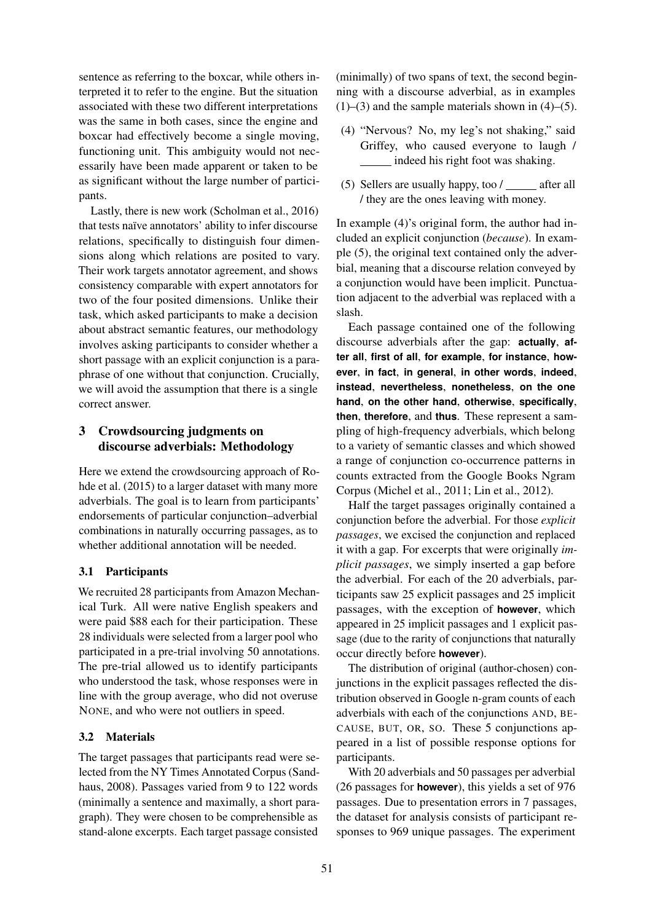sentence as referring to the boxcar, while others interpreted it to refer to the engine. But the situation associated with these two different interpretations was the same in both cases, since the engine and boxcar had effectively become a single moving, functioning unit. This ambiguity would not necessarily have been made apparent or taken to be as significant without the large number of participants.

Lastly, there is new work (Scholman et al., 2016) that tests naïve annotators' ability to infer discourse relations, specifically to distinguish four dimensions along which relations are posited to vary. Their work targets annotator agreement, and shows consistency comparable with expert annotators for two of the four posited dimensions. Unlike their task, which asked participants to make a decision about abstract semantic features, our methodology involves asking participants to consider whether a short passage with an explicit conjunction is a paraphrase of one without that conjunction. Crucially, we will avoid the assumption that there is a single correct answer.

# 3 Crowdsourcing judgments on discourse adverbials: Methodology

Here we extend the crowdsourcing approach of Rohde et al. (2015) to a larger dataset with many more adverbials. The goal is to learn from participants' endorsements of particular conjunction–adverbial combinations in naturally occurring passages, as to whether additional annotation will be needed.

### 3.1 Participants

We recruited 28 participants from Amazon Mechanical Turk. All were native English speakers and were paid \$88 each for their participation. These 28 individuals were selected from a larger pool who participated in a pre-trial involving 50 annotations. The pre-trial allowed us to identify participants who understood the task, whose responses were in line with the group average, who did not overuse NONE, and who were not outliers in speed.

### 3.2 Materials

The target passages that participants read were selected from the NY Times Annotated Corpus (Sandhaus, 2008). Passages varied from 9 to 122 words (minimally a sentence and maximally, a short paragraph). They were chosen to be comprehensible as stand-alone excerpts. Each target passage consisted

(minimally) of two spans of text, the second beginning with a discourse adverbial, as in examples  $(1)$ – $(3)$  and the sample materials shown in  $(4)$ – $(5)$ .

- (4) "Nervous? No, my leg's not shaking," said Griffey, who caused everyone to laugh / indeed his right foot was shaking.
- (5) Sellers are usually happy, too  $\angle$  after all / they are the ones leaving with money.

In example (4)'s original form, the author had included an explicit conjunction (*because*). In example (5), the original text contained only the adverbial, meaning that a discourse relation conveyed by a conjunction would have been implicit. Punctuation adjacent to the adverbial was replaced with a slash.

Each passage contained one of the following discourse adverbials after the gap: **actually**, **after all**, **first of all**, **for example**, **for instance**, **however**, **in fact**, **in general**, **in other words**, **indeed**, **instead**, **nevertheless**, **nonetheless**, **on the one hand**, **on the other hand**, **otherwise**, **specifically**, **then**, **therefore**, and **thus**. These represent a sampling of high-frequency adverbials, which belong to a variety of semantic classes and which showed a range of conjunction co-occurrence patterns in counts extracted from the Google Books Ngram Corpus (Michel et al., 2011; Lin et al., 2012).

Half the target passages originally contained a conjunction before the adverbial. For those *explicit passages*, we excised the conjunction and replaced it with a gap. For excerpts that were originally *implicit passages*, we simply inserted a gap before the adverbial. For each of the 20 adverbials, participants saw 25 explicit passages and 25 implicit passages, with the exception of **however**, which appeared in 25 implicit passages and 1 explicit passage (due to the rarity of conjunctions that naturally occur directly before **however**).

The distribution of original (author-chosen) conjunctions in the explicit passages reflected the distribution observed in Google n-gram counts of each adverbials with each of the conjunctions AND, BE-CAUSE, BUT, OR, SO. These 5 conjunctions appeared in a list of possible response options for participants.

With 20 adverbials and 50 passages per adverbial (26 passages for **however**), this yields a set of 976 passages. Due to presentation errors in 7 passages, the dataset for analysis consists of participant responses to 969 unique passages. The experiment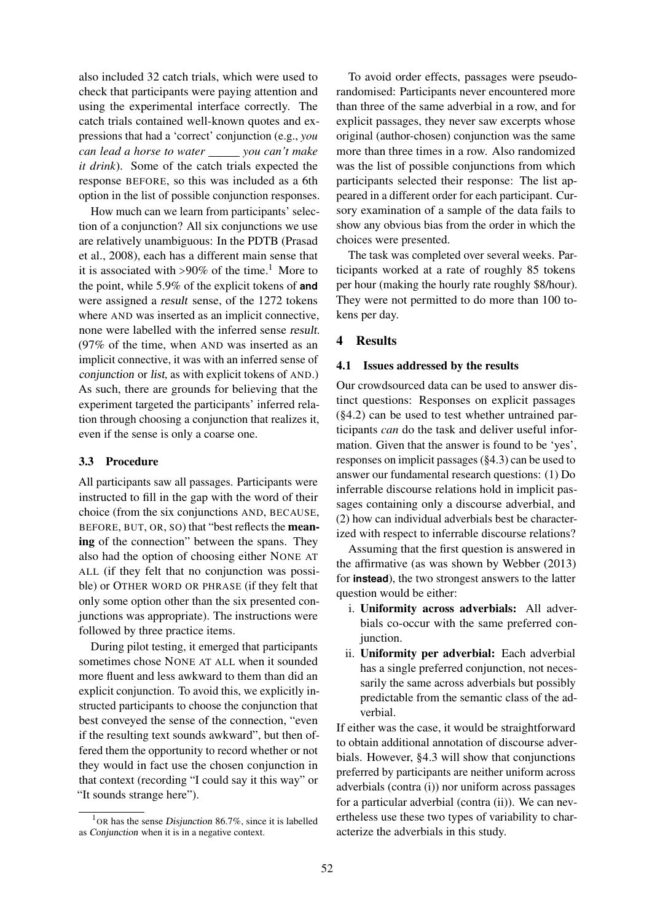also included 32 catch trials, which were used to check that participants were paying attention and using the experimental interface correctly. The catch trials contained well-known quotes and expressions that had a 'correct' conjunction (e.g., *you can lead a horse to water you can't make it drink*). Some of the catch trials expected the response BEFORE, so this was included as a 6th option in the list of possible conjunction responses.

How much can we learn from participants' selection of a conjunction? All six conjunctions we use are relatively unambiguous: In the PDTB (Prasad et al., 2008), each has a different main sense that it is associated with  $>90\%$  of the time.<sup>1</sup> More to the point, while 5.9% of the explicit tokens of **and** were assigned a result sense, of the 1272 tokens where AND was inserted as an implicit connective, none were labelled with the inferred sense result. (97% of the time, when AND was inserted as an implicit connective, it was with an inferred sense of conjunction or list, as with explicit tokens of AND.) As such, there are grounds for believing that the experiment targeted the participants' inferred relation through choosing a conjunction that realizes it, even if the sense is only a coarse one.

### 3.3 Procedure

All participants saw all passages. Participants were instructed to fill in the gap with the word of their choice (from the six conjunctions AND, BECAUSE, BEFORE, BUT, OR, SO) that "best reflects the meaning of the connection" between the spans. They also had the option of choosing either NONE AT ALL (if they felt that no conjunction was possible) or OTHER WORD OR PHRASE (if they felt that only some option other than the six presented conjunctions was appropriate). The instructions were followed by three practice items.

During pilot testing, it emerged that participants sometimes chose NONE AT ALL when it sounded more fluent and less awkward to them than did an explicit conjunction. To avoid this, we explicitly instructed participants to choose the conjunction that best conveyed the sense of the connection, "even if the resulting text sounds awkward", but then offered them the opportunity to record whether or not they would in fact use the chosen conjunction in that context (recording "I could say it this way" or "It sounds strange here").

To avoid order effects, passages were pseudorandomised: Participants never encountered more than three of the same adverbial in a row, and for explicit passages, they never saw excerpts whose original (author-chosen) conjunction was the same more than three times in a row. Also randomized was the list of possible conjunctions from which participants selected their response: The list appeared in a different order for each participant. Cursory examination of a sample of the data fails to show any obvious bias from the order in which the choices were presented.

The task was completed over several weeks. Participants worked at a rate of roughly 85 tokens per hour (making the hourly rate roughly \$8/hour). They were not permitted to do more than 100 tokens per day.

#### 4 Results

### 4.1 Issues addressed by the results

Our crowdsourced data can be used to answer distinct questions: Responses on explicit passages (§4.2) can be used to test whether untrained participants *can* do the task and deliver useful information. Given that the answer is found to be 'yes', responses on implicit passages (§4.3) can be used to answer our fundamental research questions: (1) Do inferrable discourse relations hold in implicit passages containing only a discourse adverbial, and (2) how can individual adverbials best be characterized with respect to inferrable discourse relations?

Assuming that the first question is answered in the affirmative (as was shown by Webber (2013) for **instead**), the two strongest answers to the latter question would be either:

- i. Uniformity across adverbials: All adverbials co-occur with the same preferred conjunction.
- ii. Uniformity per adverbial: Each adverbial has a single preferred conjunction, not necessarily the same across adverbials but possibly predictable from the semantic class of the adverbial.

If either was the case, it would be straightforward to obtain additional annotation of discourse adverbials. However, §4.3 will show that conjunctions preferred by participants are neither uniform across adverbials (contra (i)) nor uniform across passages for a particular adverbial (contra (ii)). We can nevertheless use these two types of variability to characterize the adverbials in this study.

<sup>&</sup>lt;sup>1</sup>OR has the sense Disjunction 86.7%, since it is labelled as Conjunction when it is in a negative context.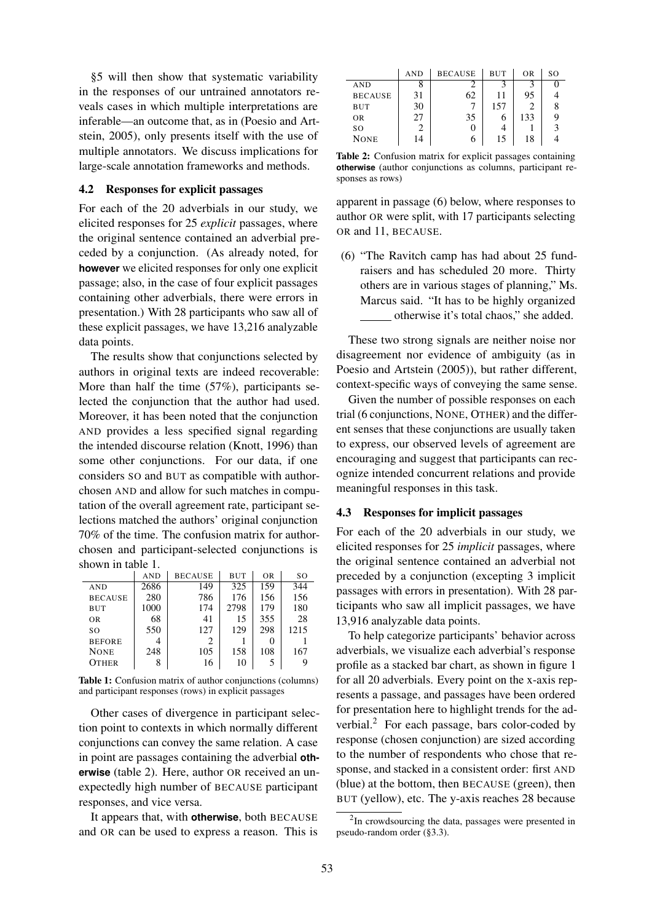§5 will then show that systematic variability in the responses of our untrained annotators reveals cases in which multiple interpretations are inferable—an outcome that, as in (Poesio and Artstein, 2005), only presents itself with the use of multiple annotators. We discuss implications for large-scale annotation frameworks and methods.

#### 4.2 Responses for explicit passages

For each of the 20 adverbials in our study, we elicited responses for 25 *explicit* passages, where the original sentence contained an adverbial preceded by a conjunction. (As already noted, for **however** we elicited responses for only one explicit passage; also, in the case of four explicit passages containing other adverbials, there were errors in presentation.) With 28 participants who saw all of these explicit passages, we have 13,216 analyzable data points.

The results show that conjunctions selected by authors in original texts are indeed recoverable: More than half the time (57%), participants selected the conjunction that the author had used. Moreover, it has been noted that the conjunction AND provides a less specified signal regarding the intended discourse relation (Knott, 1996) than some other conjunctions. For our data, if one considers SO and BUT as compatible with authorchosen AND and allow for such matches in computation of the overall agreement rate, participant selections matched the authors' original conjunction 70% of the time. The confusion matrix for authorchosen and participant-selected conjunctions is shown in table 1.

|                | <b>AND</b> | <b>BECAUSE</b> | <b>BUT</b> | 0 <sub>R</sub> | SO   |
|----------------|------------|----------------|------------|----------------|------|
| <b>AND</b>     | 2686       | 149            | 325        | 159            | 344  |
| <b>BECAUSE</b> | 280        | 786            | 176        | 156            | 156  |
| BUT            | 1000       | 174            | 2798       | 179            | 180  |
| <b>OR</b>      | 68         | 41             | 15         | 355            | 28   |
| SO.            | 550        | 127            | 129        | 298            | 1215 |
| <b>BEFORE</b>  | 4          | 2              |            |                |      |
| <b>NONE</b>    | 248        | 105            | 158        | 108            | 167  |
| <b>OTHER</b>   | 8          | 16             | 10         |                |      |

Table 1: Confusion matrix of author conjunctions (columns) and participant responses (rows) in explicit passages

Other cases of divergence in participant selection point to contexts in which normally different conjunctions can convey the same relation. A case in point are passages containing the adverbial **otherwise** (table 2). Here, author OR received an unexpectedly high number of BECAUSE participant responses, and vice versa.

It appears that, with **otherwise**, both BECAUSE and OR can be used to express a reason. This is

|                | AND | <b>BECAUSE</b> | BUT | OR  | SO |
|----------------|-----|----------------|-----|-----|----|
| <b>AND</b>     |     |                |     |     |    |
| <b>BECAUSE</b> | 31  | 62             | 11  | 95  |    |
| BUT            | 30  |                | 157 |     |    |
| <b>OR</b>      | 27  | 35             | O   | 133 |    |
| SO             |     |                |     |     |    |
| <b>NONE</b>    | 14  |                | 15  | 18  |    |

Table 2: Confusion matrix for explicit passages containing **otherwise** (author conjunctions as columns, participant responses as rows)

apparent in passage (6) below, where responses to author OR were split, with 17 participants selecting OR and 11, BECAUSE.

(6) "The Ravitch camp has had about 25 fundraisers and has scheduled 20 more. Thirty others are in various stages of planning," Ms. Marcus said. "It has to be highly organized otherwise it's total chaos," she added.

These two strong signals are neither noise nor disagreement nor evidence of ambiguity (as in Poesio and Artstein (2005)), but rather different, context-specific ways of conveying the same sense.

Given the number of possible responses on each trial (6 conjunctions, NONE, OTHER) and the different senses that these conjunctions are usually taken to express, our observed levels of agreement are encouraging and suggest that participants can recognize intended concurrent relations and provide meaningful responses in this task.

#### 4.3 Responses for implicit passages

For each of the 20 adverbials in our study, we elicited responses for 25 *implicit* passages, where the original sentence contained an adverbial not preceded by a conjunction (excepting 3 implicit passages with errors in presentation). With 28 participants who saw all implicit passages, we have 13,916 analyzable data points.

To help categorize participants' behavior across adverbials, we visualize each adverbial's response profile as a stacked bar chart, as shown in figure 1 for all 20 adverbials. Every point on the x-axis represents a passage, and passages have been ordered for presentation here to highlight trends for the adverbial. $<sup>2</sup>$  For each passage, bars color-coded by</sup> response (chosen conjunction) are sized according to the number of respondents who chose that response, and stacked in a consistent order: first AND (blue) at the bottom, then BECAUSE (green), then BUT (yellow), etc. The y-axis reaches 28 because

 $2$ In crowdsourcing the data, passages were presented in pseudo-random order (§3.3).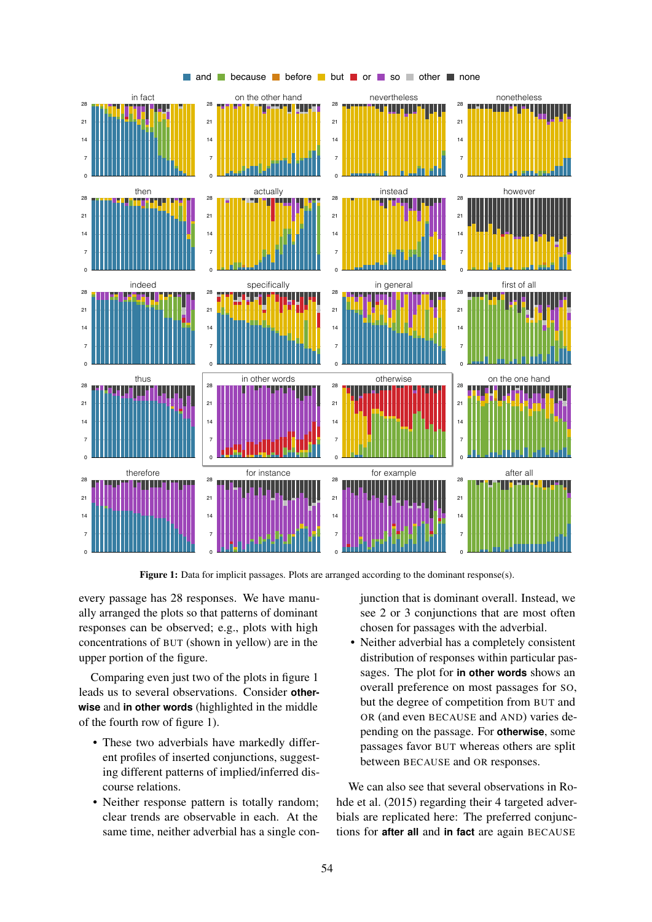

and because before but or so other none

Figure 1: Data for implicit passages. Plots are arranged according to the dominant response(s).

every passage has 28 responses. We have manually arranged the plots so that patterns of dominant responses can be observed; e.g., plots with high concentrations of BUT (shown in yellow) are in the upper portion of the figure.

Comparing even just two of the plots in figure 1 leads us to several observations. Consider **otherwise** and **in other words** (highlighted in the middle of the fourth row of figure 1).

- These two adverbials have markedly different profiles of inserted conjunctions, suggesting different patterns of implied/inferred discourse relations.
- Neither response pattern is totally random; clear trends are observable in each. At the same time, neither adverbial has a single con-

junction that is dominant overall. Instead, we see 2 or 3 conjunctions that are most often chosen for passages with the adverbial.

• Neither adverbial has a completely consistent distribution of responses within particular passages. The plot for **in other words** shows an overall preference on most passages for SO, but the degree of competition from BUT and OR (and even BECAUSE and AND) varies depending on the passage. For **otherwise**, some passages favor BUT whereas others are split between BECAUSE and OR responses.

We can also see that several observations in Rohde et al. (2015) regarding their 4 targeted adverbials are replicated here: The preferred conjunctions for **after all** and **in fact** are again BECAUSE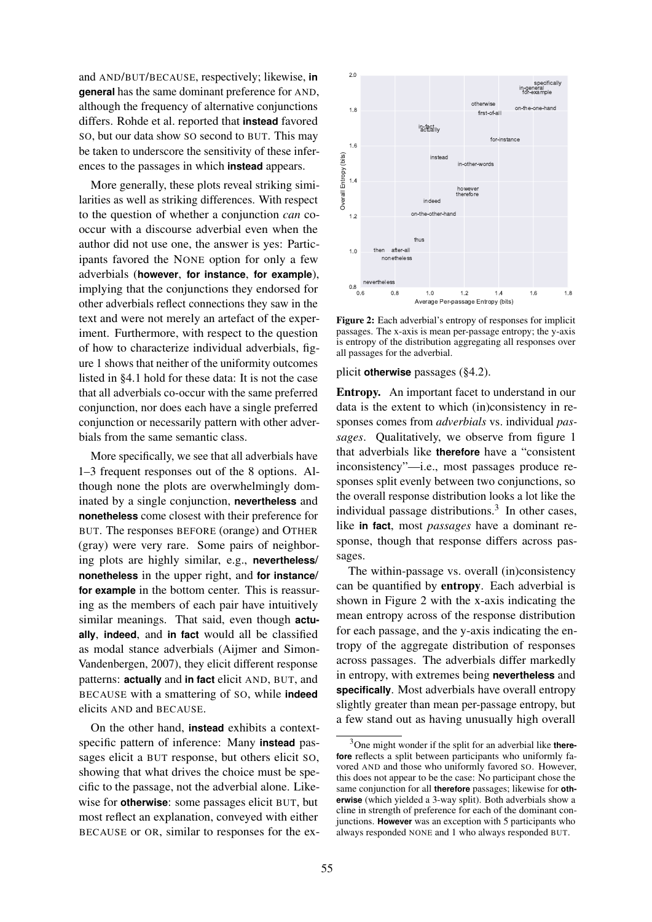and AND/BUT/BECAUSE, respectively; likewise, **in general** has the same dominant preference for AND, although the frequency of alternative conjunctions differs. Rohde et al. reported that **instead** favored SO, but our data show SO second to BUT. This may be taken to underscore the sensitivity of these inferences to the passages in which **instead** appears.

More generally, these plots reveal striking similarities as well as striking differences. With respect to the question of whether a conjunction *can* cooccur with a discourse adverbial even when the author did not use one, the answer is yes: Participants favored the NONE option for only a few adverbials (**however**, **for instance**, **for example**), implying that the conjunctions they endorsed for other adverbials reflect connections they saw in the text and were not merely an artefact of the experiment. Furthermore, with respect to the question of how to characterize individual adverbials, figure 1 shows that neither of the uniformity outcomes listed in §4.1 hold for these data: It is not the case that all adverbials co-occur with the same preferred conjunction, nor does each have a single preferred conjunction or necessarily pattern with other adverbials from the same semantic class.

More specifically, we see that all adverbials have 1–3 frequent responses out of the 8 options. Although none the plots are overwhelmingly dominated by a single conjunction, **nevertheless** and **nonetheless** come closest with their preference for BUT. The responses BEFORE (orange) and OTHER (gray) were very rare. Some pairs of neighboring plots are highly similar, e.g., **nevertheless**/ **nonetheless** in the upper right, and **for instance**/ **for example** in the bottom center. This is reassuring as the members of each pair have intuitively similar meanings. That said, even though **actually**, **indeed**, and **in fact** would all be classified as modal stance adverbials (Aijmer and Simon-Vandenbergen, 2007), they elicit different response patterns: **actually** and **in fact** elicit AND, BUT, and BECAUSE with a smattering of SO, while **indeed** elicits AND and BECAUSE.

On the other hand, **instead** exhibits a contextspecific pattern of inference: Many **instead** passages elicit a BUT response, but others elicit SO, showing that what drives the choice must be specific to the passage, not the adverbial alone. Likewise for **otherwise**: some passages elicit BUT, but most reflect an explanation, conveyed with either BECAUSE or OR, similar to responses for the ex-



Figure 2: Each adverbial's entropy of responses for implicit passages. The x-axis is mean per-passage entropy; the y-axis is entropy of the distribution aggregating all responses over all passages for the adverbial.

plicit **otherwise** passages (§4.2).

Entropy. An important facet to understand in our data is the extent to which (in)consistency in responses comes from *adverbials* vs. individual *passages*. Qualitatively, we observe from figure 1 that adverbials like **therefore** have a "consistent inconsistency"—i.e., most passages produce responses split evenly between two conjunctions, so the overall response distribution looks a lot like the individual passage distributions.<sup>3</sup> In other cases, like **in fact**, most *passages* have a dominant response, though that response differs across passages.

The within-passage vs. overall (in)consistency can be quantified by entropy. Each adverbial is shown in Figure 2 with the x-axis indicating the mean entropy across of the response distribution for each passage, and the y-axis indicating the entropy of the aggregate distribution of responses across passages. The adverbials differ markedly in entropy, with extremes being **nevertheless** and **specifically**. Most adverbials have overall entropy slightly greater than mean per-passage entropy, but a few stand out as having unusually high overall

<sup>3</sup>One might wonder if the split for an adverbial like **therefore** reflects a split between participants who uniformly favored AND and those who uniformly favored SO. However, this does not appear to be the case: No participant chose the same conjunction for all **therefore** passages; likewise for **otherwise** (which yielded a 3-way split). Both adverbials show a cline in strength of preference for each of the dominant conjunctions. **However** was an exception with 5 participants who always responded NONE and 1 who always responded BUT.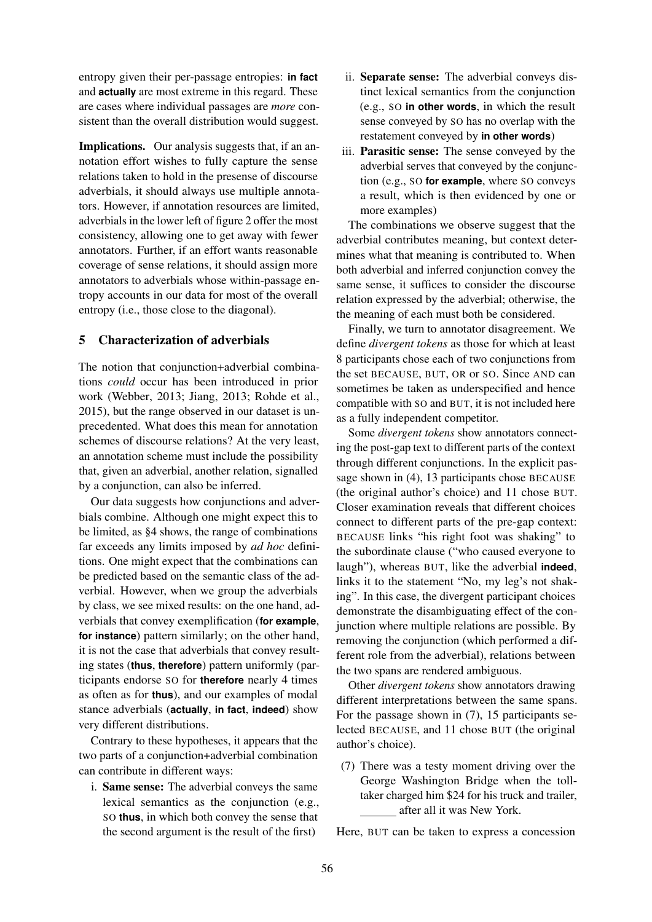entropy given their per-passage entropies: **in fact** and **actually** are most extreme in this regard. These are cases where individual passages are *more* consistent than the overall distribution would suggest.

Implications. Our analysis suggests that, if an annotation effort wishes to fully capture the sense relations taken to hold in the presense of discourse adverbials, it should always use multiple annotators. However, if annotation resources are limited, adverbials in the lower left of figure 2 offer the most consistency, allowing one to get away with fewer annotators. Further, if an effort wants reasonable coverage of sense relations, it should assign more annotators to adverbials whose within-passage entropy accounts in our data for most of the overall entropy (i.e., those close to the diagonal).

### 5 Characterization of adverbials

The notion that conjunction+adverbial combinations *could* occur has been introduced in prior work (Webber, 2013; Jiang, 2013; Rohde et al., 2015), but the range observed in our dataset is unprecedented. What does this mean for annotation schemes of discourse relations? At the very least, an annotation scheme must include the possibility that, given an adverbial, another relation, signalled by a conjunction, can also be inferred.

Our data suggests how conjunctions and adverbials combine. Although one might expect this to be limited, as §4 shows, the range of combinations far exceeds any limits imposed by *ad hoc* definitions. One might expect that the combinations can be predicted based on the semantic class of the adverbial. However, when we group the adverbials by class, we see mixed results: on the one hand, adverbials that convey exemplification (**for example**, **for instance**) pattern similarly; on the other hand, it is not the case that adverbials that convey resulting states (**thus**, **therefore**) pattern uniformly (participants endorse SO for **therefore** nearly 4 times as often as for **thus**), and our examples of modal stance adverbials (**actually**, **in fact**, **indeed**) show very different distributions.

Contrary to these hypotheses, it appears that the two parts of a conjunction+adverbial combination can contribute in different ways:

i. Same sense: The adverbial conveys the same lexical semantics as the conjunction (e.g., SO **thus**, in which both convey the sense that the second argument is the result of the first)

- ii. Separate sense: The adverbial conveys distinct lexical semantics from the conjunction (e.g., SO **in other words**, in which the result sense conveyed by SO has no overlap with the restatement conveyed by **in other words**)
- iii. Parasitic sense: The sense conveyed by the adverbial serves that conveyed by the conjunction (e.g., SO **for example**, where SO conveys a result, which is then evidenced by one or more examples)

The combinations we observe suggest that the adverbial contributes meaning, but context determines what that meaning is contributed to. When both adverbial and inferred conjunction convey the same sense, it suffices to consider the discourse relation expressed by the adverbial; otherwise, the the meaning of each must both be considered.

Finally, we turn to annotator disagreement. We define *divergent tokens* as those for which at least 8 participants chose each of two conjunctions from the set BECAUSE, BUT, OR or SO. Since AND can sometimes be taken as underspecified and hence compatible with SO and BUT, it is not included here as a fully independent competitor.

Some *divergent tokens* show annotators connecting the post-gap text to different parts of the context through different conjunctions. In the explicit passage shown in (4), 13 participants chose BECAUSE (the original author's choice) and 11 chose BUT. Closer examination reveals that different choices connect to different parts of the pre-gap context: BECAUSE links "his right foot was shaking" to the subordinate clause ("who caused everyone to laugh"), whereas BUT, like the adverbial **indeed**, links it to the statement "No, my leg's not shaking". In this case, the divergent participant choices demonstrate the disambiguating effect of the conjunction where multiple relations are possible. By removing the conjunction (which performed a different role from the adverbial), relations between the two spans are rendered ambiguous.

Other *divergent tokens* show annotators drawing different interpretations between the same spans. For the passage shown in (7), 15 participants selected BECAUSE, and 11 chose BUT (the original author's choice).

(7) There was a testy moment driving over the George Washington Bridge when the tolltaker charged him \$24 for his truck and trailer, after all it was New York.

Here, BUT can be taken to express a concession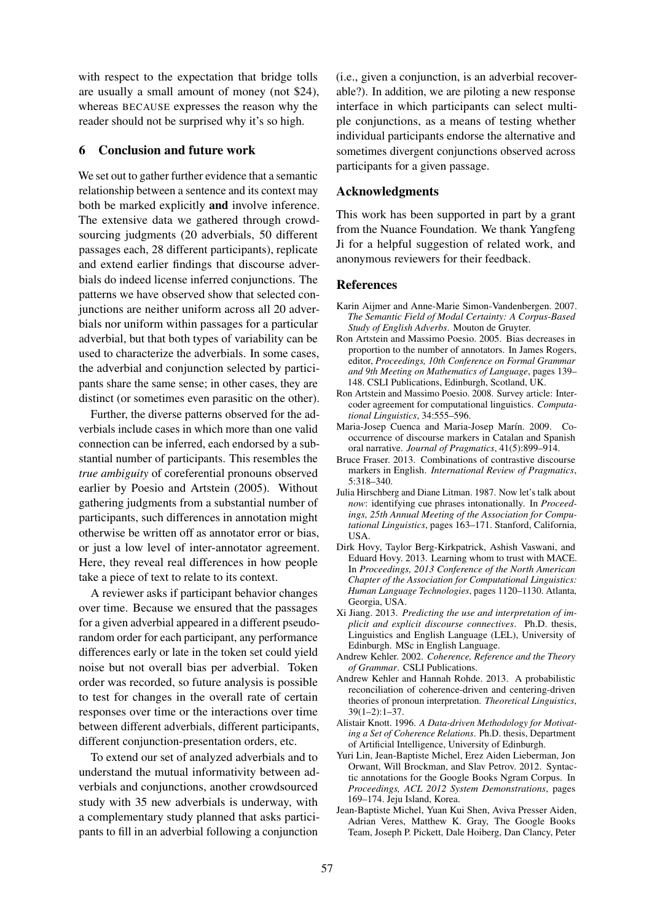with respect to the expectation that bridge tolls are usually a small amount of money (not \$24), whereas BECAUSE expresses the reason why the reader should not be surprised why it's so high.

### 6 Conclusion and future work

We set out to gather further evidence that a semantic relationship between a sentence and its context may both be marked explicitly and involve inference. The extensive data we gathered through crowdsourcing judgments (20 adverbials, 50 different passages each, 28 different participants), replicate and extend earlier findings that discourse adverbials do indeed license inferred conjunctions. The patterns we have observed show that selected conjunctions are neither uniform across all 20 adverbials nor uniform within passages for a particular adverbial, but that both types of variability can be used to characterize the adverbials. In some cases, the adverbial and conjunction selected by participants share the same sense; in other cases, they are distinct (or sometimes even parasitic on the other).

Further, the diverse patterns observed for the adverbials include cases in which more than one valid connection can be inferred, each endorsed by a substantial number of participants. This resembles the *true ambiguity* of coreferential pronouns observed earlier by Poesio and Artstein (2005). Without gathering judgments from a substantial number of participants, such differences in annotation might otherwise be written off as annotator error or bias, or just a low level of inter-annotator agreement. Here, they reveal real differences in how people take a piece of text to relate to its context.

A reviewer asks if participant behavior changes over time. Because we ensured that the passages for a given adverbial appeared in a different pseudorandom order for each participant, any performance differences early or late in the token set could yield noise but not overall bias per adverbial. Token order was recorded, so future analysis is possible to test for changes in the overall rate of certain responses over time or the interactions over time between different adverbials, different participants, different conjunction-presentation orders, etc.

To extend our set of analyzed adverbials and to understand the mutual informativity between adverbials and conjunctions, another crowdsourced study with 35 new adverbials is underway, with a complementary study planned that asks participants to fill in an adverbial following a conjunction

(i.e., given a conjunction, is an adverbial recoverable?). In addition, we are piloting a new response interface in which participants can select multiple conjunctions, as a means of testing whether individual participants endorse the alternative and sometimes divergent conjunctions observed across participants for a given passage.

# Acknowledgments

This work has been supported in part by a grant from the Nuance Foundation. We thank Yangfeng Ji for a helpful suggestion of related work, and anonymous reviewers for their feedback.

#### **References**

- Karin Aijmer and Anne-Marie Simon-Vandenbergen. 2007. *The Semantic Field of Modal Certainty: A Corpus-Based Study of English Adverbs*. Mouton de Gruyter.
- Ron Artstein and Massimo Poesio. 2005. Bias decreases in proportion to the number of annotators. In James Rogers, editor, *Proceedings, 10th Conference on Formal Grammar and 9th Meeting on Mathematics of Language*, pages 139– 148. CSLI Publications, Edinburgh, Scotland, UK.
- Ron Artstein and Massimo Poesio. 2008. Survey article: Intercoder agreement for computational linguistics. *Computational Linguistics*, 34:555–596.
- Maria-Josep Cuenca and Maria-Josep Marín. 2009. Cooccurrence of discourse markers in Catalan and Spanish oral narrative. *Journal of Pragmatics*, 41(5):899–914.
- Bruce Fraser. 2013. Combinations of contrastive discourse markers in English. *International Review of Pragmatics*, 5:318–340.
- Julia Hirschberg and Diane Litman. 1987. Now let's talk about *now*: identifying cue phrases intonationally. In *Proceedings, 25th Annual Meeting of the Association for Computational Linguistics*, pages 163–171. Stanford, California, USA.
- Dirk Hovy, Taylor Berg-Kirkpatrick, Ashish Vaswani, and Eduard Hovy. 2013. Learning whom to trust with MACE. In *Proceedings, 2013 Conference of the North American Chapter of the Association for Computational Linguistics: Human Language Technologies*, pages 1120–1130. Atlanta, Georgia, USA.
- Xi Jiang. 2013. *Predicting the use and interpretation of implicit and explicit discourse connectives*. Ph.D. thesis, Linguistics and English Language (LEL), University of Edinburgh. MSc in English Language.
- Andrew Kehler. 2002. *Coherence, Reference and the Theory of Grammar*. CSLI Publications.
- Andrew Kehler and Hannah Rohde. 2013. A probabilistic reconciliation of coherence-driven and centering-driven theories of pronoun interpretation. *Theoretical Linguistics*, 39(1–2):1–37.
- Alistair Knott. 1996. *A Data-driven Methodology for Motivating a Set of Coherence Relations*. Ph.D. thesis, Department of Artificial Intelligence, University of Edinburgh.
- Yuri Lin, Jean-Baptiste Michel, Erez Aiden Lieberman, Jon Orwant, Will Brockman, and Slav Petrov. 2012. Syntactic annotations for the Google Books Ngram Corpus. In *Proceedings, ACL 2012 System Demonstrations*, pages 169–174. Jeju Island, Korea.
- Jean-Baptiste Michel, Yuan Kui Shen, Aviva Presser Aiden, Adrian Veres, Matthew K. Gray, The Google Books Team, Joseph P. Pickett, Dale Hoiberg, Dan Clancy, Peter